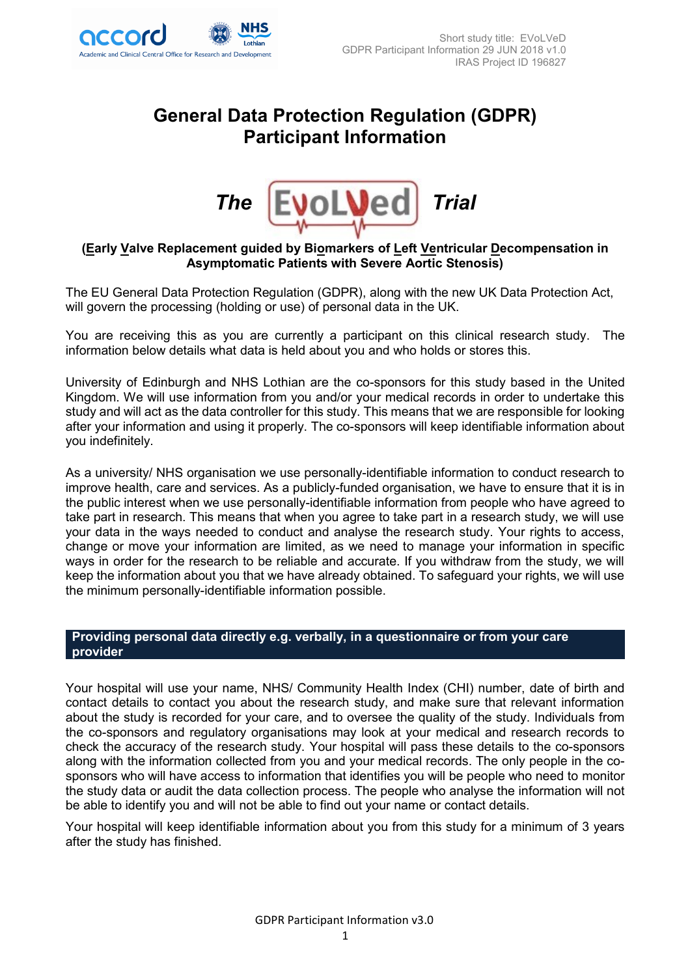

# **General Data Protection Regulation (GDPR) Participant Information**



# **(Early Valve Replacement guided by Biomarkers of Left Ventricular Decompensation in Asymptomatic Patients with Severe Aortic Stenosis)**

The EU General Data Protection Regulation (GDPR), along with the new UK Data Protection Act, will govern the processing (holding or use) of personal data in the UK.

You are receiving this as you are currently a participant on this clinical research study. The information below details what data is held about you and who holds or stores this.

University of Edinburgh and NHS Lothian are the co-sponsors for this study based in the United Kingdom. We will use information from you and/or your medical records in order to undertake this study and will act as the data controller for this study. This means that we are responsible for looking after your information and using it properly. The co-sponsors will keep identifiable information about you indefinitely.

As a university/ NHS organisation we use personally-identifiable information to conduct research to improve health, care and services. As a publicly-funded organisation, we have to ensure that it is in the public interest when we use personally-identifiable information from people who have agreed to take part in research. This means that when you agree to take part in a research study, we will use your data in the ways needed to conduct and analyse the research study. Your rights to access, change or move your information are limited, as we need to manage your information in specific ways in order for the research to be reliable and accurate. If you withdraw from the study, we will keep the information about you that we have already obtained. To safeguard your rights, we will use the minimum personally-identifiable information possible.

# **Providing personal data directly e.g. verbally, in a questionnaire or from your care provider**

Your hospital will use your name, NHS/ Community Health Index (CHI) number, date of birth and contact details to contact you about the research study, and make sure that relevant information about the study is recorded for your care, and to oversee the quality of the study. Individuals from the co-sponsors and regulatory organisations may look at your medical and research records to check the accuracy of the research study. Your hospital will pass these details to the co-sponsors along with the information collected from you and your medical records. The only people in the cosponsors who will have access to information that identifies you will be people who need to monitor the study data or audit the data collection process. The people who analyse the information will not be able to identify you and will not be able to find out your name or contact details.

Your hospital will keep identifiable information about you from this study for a minimum of 3 years after the study has finished.